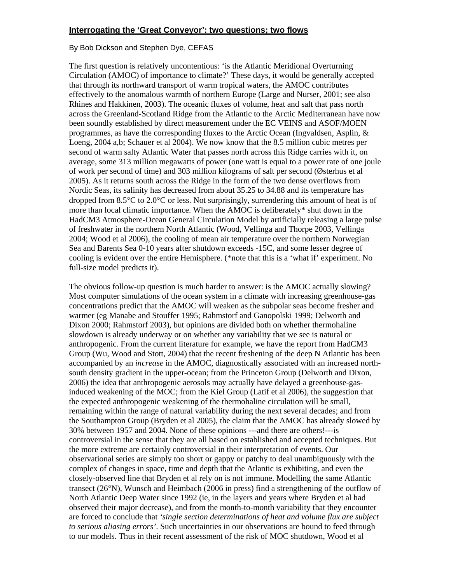## **Interrogating the 'Great Conveyor': two questions; two flows**

## By Bob Dickson and Stephen Dye, CEFAS

The first question is relatively uncontentious: 'is the Atlantic Meridional Overturning Circulation (AMOC) of importance to climate?' These days, it would be generally accepted that through its northward transport of warm tropical waters, the AMOC contributes effectively to the anomalous warmth of northern Europe (Large and Nurser, 2001; see also Rhines and Hakkinen, 2003). The oceanic fluxes of volume, heat and salt that pass north across the Greenland-Scotland Ridge from the Atlantic to the Arctic Mediterranean have now been soundly established by direct measurement under the EC VEINS and ASOF/MOEN programmes, as have the corresponding fluxes to the Arctic Ocean (Ingvaldsen, Asplin, & Loeng, 2004 a,b; Schauer et al 2004). We now know that the 8.5 million cubic metres per second of warm salty Atlantic Water that passes north across this Ridge carries with it, on average, some 313 million megawatts of power (one watt is equal to a power rate of one joule of work per second of time) and 303 million kilograms of salt per second (Østerhus et al 2005). As it returns south across the Ridge in the form of the two dense overflows from Nordic Seas, its salinity has decreased from about 35.25 to 34.88 and its temperature has dropped from  $8.5^{\circ}$ C to  $2.0^{\circ}$ C or less. Not surprisingly, surrendering this amount of heat is of more than local climatic importance. When the AMOC is deliberately\* shut down in the HadCM3 Atmosphere-Ocean General Circulation Model by artificially releasing a large pulse of freshwater in the northern North Atlantic (Wood, Vellinga and Thorpe 2003, Vellinga 2004; Wood et al 2006), the cooling of mean air temperature over the northern Norwegian Sea and Barents Sea 0-10 years after shutdown exceeds -15C, and some lesser degree of cooling is evident over the entire Hemisphere. (\*note that this is a 'what if' experiment. No full-size model predicts it).

The obvious follow-up question is much harder to answer: is the AMOC actually slowing? Most computer simulations of the ocean system in a climate with increasing greenhouse-gas concentrations predict that the AMOC will weaken as the subpolar seas become fresher and warmer (eg Manabe and Stouffer 1995; Rahmstorf and Ganopolski 1999; Delworth and Dixon 2000; Rahmstorf 2003), but opinions are divided both on whether thermohaline slowdown is already underway or on whether any variability that we see is natural or anthropogenic. From the current literature for example, we have the report from HadCM3 Group (Wu, Wood and Stott, 2004) that the recent freshening of the deep N Atlantic has been accompanied by an *increase* in the AMOC, diagnostically associated with an increased northsouth density gradient in the upper-ocean; from the Princeton Group (Delworth and Dixon, 2006) the idea that anthropogenic aerosols may actually have delayed a greenhouse-gasinduced weakening of the MOC; from the Kiel Group (Latif et al 2006), the suggestion that the expected anthropogenic weakening of the thermohaline circulation will be small, remaining within the range of natural variability during the next several decades; and from the Southampton Group (Bryden et al 2005), the claim that the AMOC has already slowed by 30% between 1957 and 2004. None of these opinions ---and there are others!---is controversial in the sense that they are all based on established and accepted techniques. But the more extreme are certainly controversial in their interpretation of events. Our observational series are simply too short or gappy or patchy to deal unambiguously with the complex of changes in space, time and depth that the Atlantic is exhibiting, and even the closely-observed line that Bryden et al rely on is not immune. Modelling the same Atlantic transect (26°N), Wunsch and Heimbach (2006 in press) find a strengthening of the outflow of North Atlantic Deep Water since 1992 (ie, in the layers and years where Bryden et al had observed their major decrease), and from the month-to-month variability that they encounter are forced to conclude that *'single section determinations of heat and volume flux are subject to serious aliasing errors'*. Such uncertainties in our observations are bound to feed through to our models. Thus in their recent assessment of the risk of MOC shutdown, Wood et al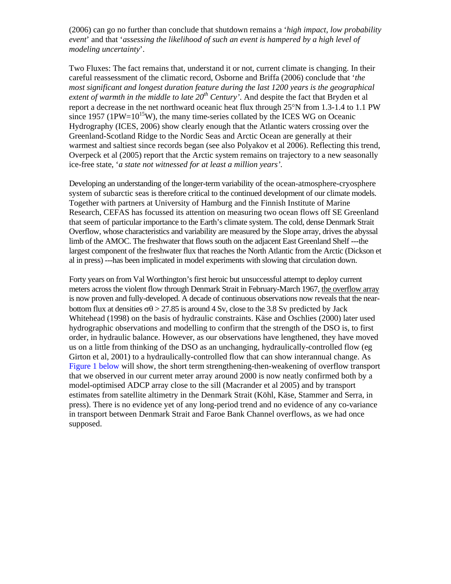(2006) can go no further than conclude that shutdown remains a '*high impact, low probability event*' and that '*assessing the likelihood of such an event is hampered by a high level of modeling uncertainty*'.

Two Fluxes: The fact remains that, understand it or not, current climate is changing. In their careful reassessment of the climatic record, Osborne and Briffa (2006) conclude that '*the most significant and longest duration feature during the last 1200 years is the geographical extent of warmth in the middle to late 20th Century'*. And despite the fact that Bryden et al report a decrease in the net northward oceanic heat flux through 25°N from 1.3-1.4 to 1.1 PW since 1957 ( $1\text{PW}=10^{15}\text{W}$ ), the many time-series collated by the ICES WG on Oceanic Hydrography (ICES, 2006) show clearly enough that the Atlantic waters crossing over the Greenland-Scotland Ridge to the Nordic Seas and Arctic Ocean are generally at their warmest and saltiest since records began (see also Polyakov et al 2006). Reflecting this trend, Overpeck et al (2005) report that the Arctic system remains on trajectory to a new seasonally ice-free state, '*a state not witnessed for at least a million years'.*

Developing an understanding of the longer-term variability of the ocean-atmosphere-cryosphere system of subarctic seas is therefore critical to the continued development of our climate models. Together with partners at University of Hamburg and the Finnish Institute of Marine Research, CEFAS has focussed its attention on measuring two ocean flows off SE Greenland that seem of particular importance to the Earth's climate system. The cold, dense Denmark Strait Overflow, whose characteristics and variability are measured by the Slope array, drives the abyssal limb of the AMOC. The freshwater that flows south on the adjacent East Greenland Shelf ---the largest component of the freshwater flux that reaches the North Atlantic from the Arctic (Dickson et al in press) ---has been implicated in model experiments with slowing that circulation down.

Forty years on from Val Worthington's first heroic but unsuccessful attempt to deploy current meters across the violent flow through Denmark Strait in February-March 1967, the overflow array is now proven and fully-developed. A decade of continuous observations now reveals that the nearbottom flux at densities  $\sigma\theta > 27.85$  is around 4 Sv, close to the 3.8 Sv predicted by Jack Whitehead (1998) on the basis of hydraulic constraints. Käse and Oschlies (2000) later used hydrographic observations and modelling to confirm that the strength of the DSO is, to first order, in hydraulic balance. However, as our observations have lengthened, they have moved us on a little from thinking of the DSO as an unchanging, hydraulically-controlled flow (eg Girton et al, 2001) to a hydraulically-controlled flow that can show interannual change. As Figure 1 below will show, the short term strengthening-then-weakening of overflow transport that we observed in our current meter array around 2000 is now neatly confirmed both by a model-optimised ADCP array close to the sill (Macrander et al 2005) and by transport estimates from satellite altimetry in the Denmark Strait (Köhl, Käse, Stammer and Serra, in press). There is no evidence yet of any long-period trend and no evidence of any co-variance in transport between Denmark Strait and Faroe Bank Channel overflows, as we had once supposed.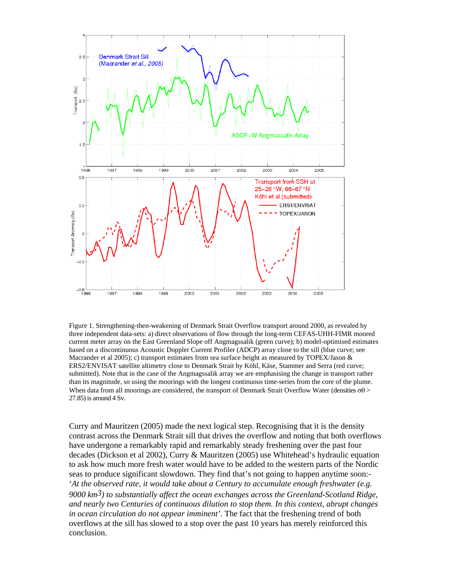

Figure 1. Strengthening-then-weakening of Denmark Strait Overflow transport around 2000, as revealed by three independent data-sets: a) direct observations of flow through the long-term CEFAS-UHH-FIMR moored current meter array on the East Greenland Slope off Angmagssalik (green curve); b) model-optimised estimates based on a discontinuous Acoustic Doppler Current Profiler (ADCP) array close to the sill (blue curve; see Macrander et al 2005); c) transport estimates from sea surface height as measured by TOPEX/Jason  $\&$ ERS2/ENVISAT satellite altimetry close to Denmark Strait by Köhl, Käse, Stammer and Serra (red curve; submitted). Note that in the case of the Angmagssalik array we are emphasising the change in transport rather than its magnitude, so using the moorings with the longest continuous time-series from the core of the plume. When data from all moorings are considered, the transport of Denmark Strait Overflow Water (densities  $\sigma\theta$ ) 27.85) is around 4 Sv.

Curry and Mauritzen (2005) made the next logical step. Recognising that it is the density contrast across the Denmark Strait sill that drives the overflow and noting that both overflows have undergone a remarkably rapid and remarkably steady freshening over the past four decades (Dickson et al 2002), Curry & Mauritzen (2005) use Whitehead's hydraulic equation to ask how much more fresh water would have to be added to the western parts of the Nordic seas to produce significant slowdown. They find that's not going to happen anytime soon:- '*At the observed rate, it would take about a Century to accumulate enough freshwater (e.g. 9000 km3) to substantially affect the ocean exchanges across the Greenland-Scotland Ridge, and nearly two Centuries of continuous dilution to stop them. In this context, abrupt changes in ocean circulation do not appear imminent'*. The fact that the freshening trend of both overflows at the sill has slowed to a stop over the past 10 years has merely reinforced this conclusion.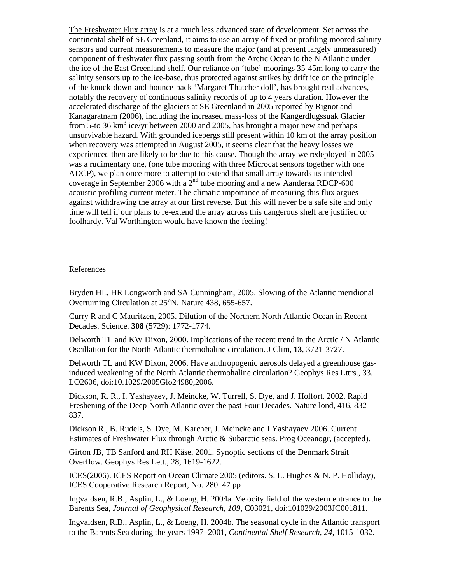The Freshwater Flux array is at a much less advanced state of development. Set across the continental shelf of SE Greenland, it aims to use an array of fixed or profiling moored salinity sensors and current measurements to measure the major (and at present largely unmeasured) component of freshwater flux passing south from the Arctic Ocean to the N Atlantic under the ice of the East Greenland shelf. Our reliance on 'tube' moorings 35-45m long to carry the salinity sensors up to the ice-base, thus protected against strikes by drift ice on the principle of the knock-down-and-bounce-back 'Margaret Thatcher doll', has brought real advances, notably the recovery of continuous salinity records of up to 4 years duration. However the accelerated discharge of the glaciers at SE Greenland in 2005 reported by Rignot and Kanagaratnam (2006), including the increased mass-loss of the Kangerdlugssuak Glacier from  $\overline{5}$ -to 36 km<sup>3</sup> ice/yr between 2000 and 2005, has brought a major new and perhaps unsurvivable hazard. With grounded icebergs still present within 10 km of the array position when recovery was attempted in August 2005, it seems clear that the heavy losses we experienced then are likely to be due to this cause. Though the array we redeployed in 2005 was a rudimentary one, (one tube mooring with three Microcat sensors together with one ADCP), we plan once more to attempt to extend that small array towards its intended coverage in September 2006 with a  $2^{nd}$  tube mooring and a new Aanderaa RDCP-600 acoustic profiling current meter. The climatic importance of measuring this flux argues against withdrawing the array at our first reverse. But this will never be a safe site and only time will tell if our plans to re-extend the array across this dangerous shelf are justified or foolhardy. Val Worthington would have known the feeling!

## References

Bryden HL, HR Longworth and SA Cunningham, 2005. Slowing of the Atlantic meridional Overturning Circulation at 25°N. Nature 438, 655-657.

Curry R and C Mauritzen, 2005. Dilution of the Northern North Atlantic Ocean in Recent Decades. Science. **308** (5729): 1772-1774.

Delworth TL and KW Dixon, 2000. Implications of the recent trend in the Arctic / N Atlantic Oscillation for the North Atlantic thermohaline circulation. J Clim, **13**, 3721-3727.

Delworth TL and KW Dixon, 2006. Have anthropogenic aerosols delayed a greenhouse gasinduced weakening of the North Atlantic thermohaline circulation? Geophys Res Lttrs., 33, LO2606, doi:10.1029/2005Glo24980,2006.

Dickson, R. R., I. Yashayaev, J. Meincke, W. Turrell, S. Dye, and J. Holfort. 2002. Rapid Freshening of the Deep North Atlantic over the past Four Decades. Nature lond, 416, 832- 837.

Dickson R., B. Rudels, S. Dye, M. Karcher, J. Meincke and I.Yashayaev 2006. Current Estimates of Freshwater Flux through Arctic & Subarctic seas. Prog Oceanogr, (accepted).

Girton JB, TB Sanford and RH Käse, 2001. Synoptic sections of the Denmark Strait Overflow. Geophys Res Lett., 28, 1619-1622.

ICES(2006). ICES Report on Ocean Climate 2005 (editors. S. L. Hughes & N. P. Holliday), ICES Cooperative Research Report, No. 280. 47 pp

Ingvaldsen, R.B., Asplin, L., & Loeng, H. 2004a. Velocity field of the western entrance to the Barents Sea, *Journal of Geophysical Research, 109,* C03021, doi:101029/2003JC001811.

Ingvaldsen, R.B., Asplin, L., & Loeng, H. 2004b. The seasonal cycle in the Atlantic transport to the Barents Sea during the years 1997−2001, *Continental Shelf Research, 24,* 1015-1032.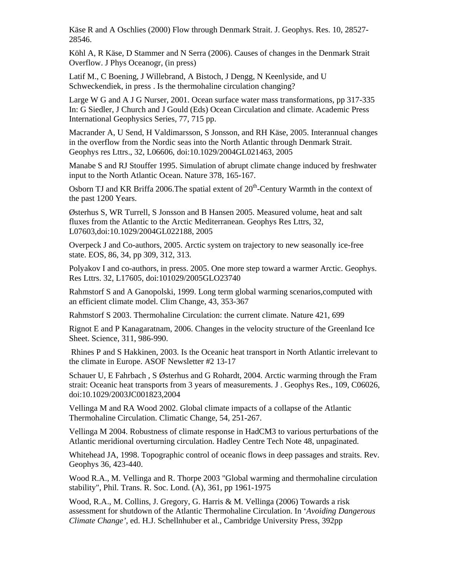Käse R and A Oschlies (2000) Flow through Denmark Strait. J. Geophys. Res. 10, 28527- 28546.

Köhl A, R Käse, D Stammer and N Serra (2006). Causes of changes in the Denmark Strait Overflow. J Phys Oceanogr, (in press)

Latif M., C Boening, J Willebrand, A Bistoch, J Dengg, N Keenlyside, and U Schweckendiek, in press . Is the thermohaline circulation changing?

Large W G and A J G Nurser, 2001. Ocean surface water mass transformations, pp 317-335 In: G Siedler, J Church and J Gould (Eds) Ocean Circulation and climate. Academic Press International Geophysics Series, 77, 715 pp.

Macrander A, U Send, H Valdimarsson, S Jonsson, and RH Käse, 2005. Interannual changes in the overflow from the Nordic seas into the North Atlantic through Denmark Strait. Geophys res Lttrs., 32, L06606, doi:10.1029/2004GL021463, 2005

Manabe S and RJ Stouffer 1995. Simulation of abrupt climate change induced by freshwater input to the North Atlantic Ocean. Nature 378, 165-167.

Osborn TJ and KR Briffa 2006. The spatial extent of  $20<sup>th</sup>$ -Century Warmth in the context of the past 1200 Years.

Østerhus S, WR Turrell, S Jonsson and B Hansen 2005. Measured volume, heat and salt fluxes from the Atlantic to the Arctic Mediterranean. Geophys Res Lttrs, 32, L07603,doi:10.1029/2004GL022188, 2005

Overpeck J and Co-authors, 2005. Arctic system on trajectory to new seasonally ice-free state. EOS, 86, 34, pp 309, 312, 313.

Polyakov I and co-authors, in press. 2005. One more step toward a warmer Arctic. Geophys. Res Lttrs. 32, L17605, doi:101029/2005GLO23740

Rahmstorf S and A Ganopolski, 1999. Long term global warming scenarios,computed with an efficient climate model. Clim Change, 43, 353-367

Rahmstorf S 2003. Thermohaline Circulation: the current climate. Nature 421, 699

Rignot E and P Kanagaratnam, 2006. Changes in the velocity structure of the Greenland Ice Sheet. Science, 311, 986-990.

 Rhines P and S Hakkinen, 2003. Is the Oceanic heat transport in North Atlantic irrelevant to the climate in Europe. ASOF Newsletter #2 13-17

Schauer U, E Fahrbach , S Østerhus and G Rohardt, 2004. Arctic warming through the Fram strait: Oceanic heat transports from 3 years of measurements. J . Geophys Res., 109, C06026, doi:10.1029/2003JC001823,2004

Vellinga M and RA Wood 2002. Global climate impacts of a collapse of the Atlantic Thermohaline Circulation. Climatic Change, 54, 251-267.

Vellinga M 2004. Robustness of climate response in HadCM3 to various perturbations of the Atlantic meridional overturning circulation. Hadley Centre Tech Note 48, unpaginated.

Whitehead JA, 1998. Topographic control of oceanic flows in deep passages and straits. Rev. Geophys 36, 423-440.

Wood R.A., M. Vellinga and R. Thorpe 2003 "Global warming and thermohaline circulation stability", Phil. Trans. R. Soc. Lond. (A), 361, pp 1961-1975

Wood, R.A., M. Collins, J. Gregory, G. Harris & M. Vellinga (2006) Towards a risk assessment for shutdown of the Atlantic Thermohaline Circulation. In '*Avoiding Dangerous Climate Change'*, ed. H.J. Schellnhuber et al., Cambridge University Press, 392pp